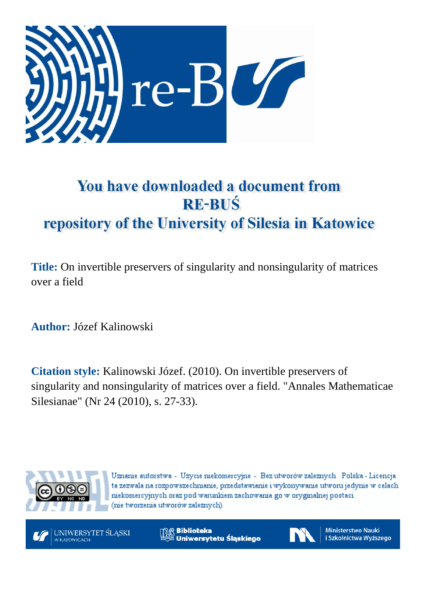

## You have downloaded a document from **RE-BUŚ** repository of the University of Silesia in Katowice

**Title:** On invertible preservers of singularity and nonsingularity of matrices over a field

**Author:** Józef Kalinowski

**Citation style:** Kalinowski Józef. (2010). On invertible preservers of singularity and nonsingularity of matrices over a field. "Annales Mathematicae Silesianae" (Nr 24 (2010), s. 27-33).



Uznanie autorstwa - Użycie niekomercyjne - Bez utworów zależnych Polska - Licencja ta zezwala na rozpowszechnianie, przedstawianie i wykonywanie utworu jedynie w celach niekomercyjnych oraz pod warunkiem zachowania go w oryginalnej postaci (nie tworzenia utworów zależnych).

UNIWERSYTET ŚLĄSKI W KATOWICACH

**Biblioteka** Uniwersytetu Śląskiego



**Ministerstwo Nauki** i Szkolnictwa Wyższego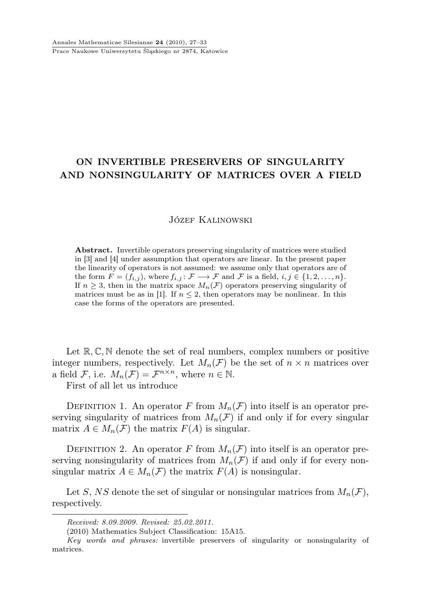## ON INVERTIBLE PRESERVERS OF SINGULARITY AND NONSINGULARITY OF MATRICES OVER A FIELD

## Józef Kalinowski

Abstract. Invertible operators preserving singularity of matrices were studied in [3] and [4] under assumption that operators are linear. In the present paper the linearity of operators is not assumed: we assume only that operators are of the form  $F = (f_{i,j})$ , where  $f_{i,j} : \mathcal{F} \longrightarrow \mathcal{F}$  and  $\mathcal{F}$  is a field,  $i, j \in \{1, 2, ..., n\}$ . If  $n \geq 3$ , then in the matrix space  $M_n(\mathcal{F})$  operators preserving singularity of matrices must be as in [1]. If  $n \leq 2$ , then operators may be nonlinear. In this case the forms of the operators are presented.

Let  $\mathbb{R}, \mathbb{C}, \mathbb{N}$  denote the set of real numbers, complex numbers or positive integer numbers, respectively. Let  $M_n(\mathcal{F})$  be the set of  $n \times n$  matrices over a field F, i.e.  $M_n(\mathcal{F}) = \mathcal{F}^{n \times n}$ , where  $n \in \mathbb{N}$ .

First of all let us introduce

DEFINITION 1. An operator F from  $M_n(\mathcal{F})$  into itself is an operator preserving singularity of matrices from  $M_n(\mathcal{F})$  if and only if for every singular matrix  $A \in M_n(\mathcal{F})$  the matrix  $F(A)$  is singular.

DEFINITION 2. An operator F from  $M_n(\mathcal{F})$  into itself is an operator preserving nonsingularity of matrices from  $M_n(\mathcal{F})$  if and only if for every nonsingular matrix  $A \in M_n(\mathcal{F})$  the matrix  $F(A)$  is nonsingular.

Let S, NS denote the set of singular or nonsingular matrices from  $M_n(\mathcal{F})$ , respectively.

Received: 8.09.2009. Revised: 25.02.2011.

<sup>(2010)</sup> Mathematics Subject Classification: 15A15.

Key words and phrases: invertible preservers of singularity or nonsingularity of matrices.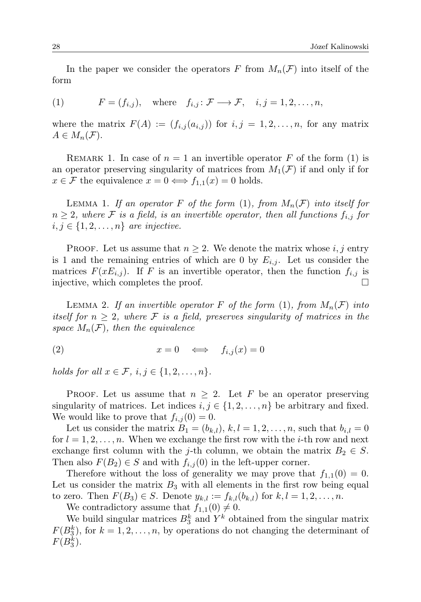In the paper we consider the operators F from  $M_n(\mathcal{F})$  into itself of the form

(1) 
$$
F = (f_{i,j}), \text{ where } f_{i,j} : \mathcal{F} \longrightarrow \mathcal{F}, \quad i, j = 1, 2, \dots, n,
$$

where the matrix  $F(A) := (f_{i,j}(a_{i,j}))$  for  $i, j = 1, 2, ..., n$ , for any matrix  $A \in M_n(\mathcal{F}).$ 

REMARK 1. In case of  $n = 1$  an invertible operator F of the form (1) is an operator preserving singularity of matrices from  $M_1(\mathcal{F})$  if and only if for  $x \in \mathcal{F}$  the equivalence  $x = 0 \iff f_{1,1}(x) = 0$  holds.

LEMMA 1. If an operator F of the form  $(1)$ , from  $M_n(\mathcal{F})$  into itself for  $n \geq 2$ , where F is a field, is an invertible operator, then all functions  $f_{i,j}$  for  $i, j \in \{1, 2, \ldots, n\}$  are injective.

PROOF. Let us assume that  $n \geq 2$ . We denote the matrix whose i, j entry is 1 and the remaining entries of which are 0 by  $E_{i,j}$ . Let us consider the matrices  $F(xE_{i,j})$ . If F is an invertible operator, then the function  $f_{i,j}$  is injective, which completes the proof.

LEMMA 2. If an invertible operator F of the form  $(1)$ , from  $M_n(\mathcal{F})$  into itself for  $n \geq 2$ , where F is a field, preserves singularity of matrices in the space  $M_n(\mathcal{F})$ , then the equivalence

$$
(2) \t\t x = 0 \iff f_{i,j}(x) = 0
$$

holds for all  $x \in \mathcal{F}$ ,  $i, j \in \{1, 2, \ldots, n\}$ .

PROOF. Let us assume that  $n \geq 2$ . Let F be an operator preserving singularity of matrices. Let indices  $i, j \in \{1, 2, \ldots, n\}$  be arbitrary and fixed. We would like to prove that  $f_{i,j}(0) = 0$ .

Let us consider the matrix  $B_1 = (b_{k,l}), k, l = 1, 2, \ldots, n$ , such that  $b_{i,l} = 0$ for  $l = 1, 2, \ldots, n$ . When we exchange the first row with the *i*-th row and next exchange first column with the j-th column, we obtain the matrix  $B_2 \in S$ . Then also  $F(B_2) \in S$  and with  $f_{i,j}(0)$  in the left-upper corner.

Therefore without the loss of generality we may prove that  $f_{1,1}(0) = 0$ . Let us consider the matrix  $B_3$  with all elements in the first row being equal to zero. Then  $F(B_3) \in S$ . Denote  $y_{k,l} := f_{k,l}(b_{k,l})$  for  $k, l = 1, 2, ..., n$ .

We contradictory assume that  $f_{1,1}(0) \neq 0$ .

We build singular matrices  $B_3^k$  and  $Y^k$  obtained from the singular matrix  $F(B_3^k)$ , for  $k = 1, 2, ..., n$ , by operations do not changing the determinant of  $F(B_3^k)$ .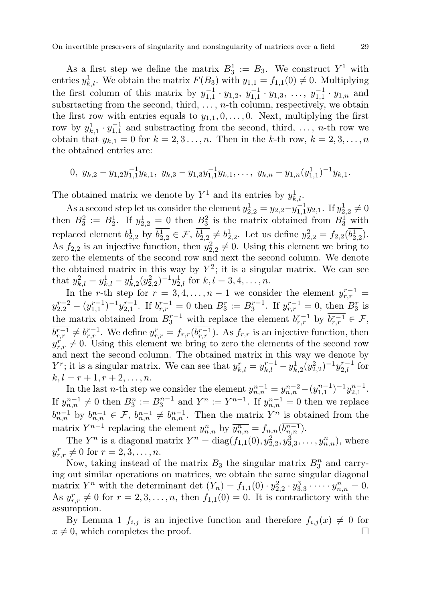As a first step we define the matrix  $B_3^1 := B_3$ . We construct  $Y^1$  with entries  $y_{k,l}^1$ . We obtain the matrix  $F(B_3)$  with  $y_{1,1} = f_{1,1}(0) \neq 0$ . Multiplying the first column of this matrix by  $y_{1,1}^{-1} \cdot y_{1,2}, y_{1,1}^{-1} \cdot y_{1,3}, \ldots, y_{1,1}^{-1} \cdot y_{1,n}$  and subsrtacting from the second, third,  $\dots$ , *n*-th column, respectively, we obtain the first row with entries equals to  $y_{1,1}, 0, \ldots, 0$ . Next, multiplying the first row by  $y_{k,1}^1 \cdot y_{1,1}^{-1}$  and substracting from the second, third, ..., n-th row we obtain that  $y_{k,1} = 0$  for  $k = 2, 3, ..., n$ . Then in the k-th row,  $k = 2, 3, ..., n$ the obtained entries are:

$$
0, y_{k,2} - y_{1,2}y_{1,1}^{-1}y_{k,1}, y_{k,3} - y_{1,3}y_{1,1}^{-1}y_{k,1}, \ldots, y_{k,n} - y_{1,n}(y_{1,1}^{1})^{-1}y_{k,1}.
$$

The obtained matrix we denote by  $Y^1$  and its entries by  $y_{k,l}^1$ .

As a second step let us consider the element  $y_{2,2}^1 = y_{2,2} - y_{1,1}^{-1}y_{2,1}$ . If  $y_{2,2}^1 \neq 0$ then  $B_3^2 := B_2^1$ . If  $y_{2,2}^1 = 0$  then  $B_3^2$  is the matrix obtained from  $B_3^1$  with replaced element  $b_{2,2}^1$  by  $b_{2,2}^1 \in \mathcal{F}$ ,  $b_{2,2}^1 \neq b_{2,2}^1$ . Let us define  $y_{2,2}^2 = f_{2,2}(b_{2,2}^1)$ . As  $f_{2,2}$  is an injective function, then  $y_{2,2}^2 \neq 0$ . Using this element we bring to zero the elements of the second row and next the second column. We denote the obtained matrix in this way by  $Y^2$ ; it is a singular matrix. We can see that  $y_{k,l}^2 = y_{k,l}^1 - y_{k,2}^1 (y_{2,2}^2)^{-1} y_{2,l}^1$  for  $k, l = 3, 4, ..., n$ .

In the r-th step for  $r = 3, 4, ..., n - 1$  we consider the element  $y_{r,r}^{r-1} =$  $y_{2,2}^{r-2} - (y_{1,1}^{r-1})^{-1}y_{2,1}^{r-1}$ . If  $b_{r,r}^{r-1} = 0$  then  $B_3^r := B_3^{r-1}$ . If  $y_{r,r}^{r-1} = 0$ , then  $B_3^r$  is the matrix obtained from  $B_3^{r-1}$  with replace the element  $b_{r,r}^{r-1}$  by  $\overline{b_{r,r}^{r-1}} \in \mathcal{F}$ ,  $\overline{b_{r,r}^{r-1}} \neq b_{r,r}^{r-1}$ . We define  $y_{r,r}^r = f_{r,r}(\overline{b_{r,r}^{r-1}})$ . As  $f_{r,r}$  is an injective function, then  $y_{r,r}^r \neq 0$ . Using this element we bring to zero the elements of the second row and next the second column. The obtained matrix in this way we denote by  $Y^r$ ; it is a singular matrix. We can see that  $y_{k,l}^r = y_{k,l}^{r-1} - y_{k,2}^1(y_{2,2}^2)^{-1}y_{2,l}^{r-1}$  for  $k, l = r + 1, r + 2, \ldots, n.$ 

In the last *n*-th step we consider the element  $y_{n,n}^{n-1} = y_{n,n}^{n-2} - (y_{1,1}^{n-1})^{-1} y_{2,1}^{n-1}$ . If  $y_{n,n}^{n-1} \neq 0$  then  $B_3^n := B_3^{n-1}$  and  $Y^n := Y^{n-1}$ . If  $y_{n,n}^{n-1} = 0$  then we replace  $b_{n,n}^{n-1}$  by  $\overline{b_{n,n}^{n-1}} \in \mathcal{F}, \overline{b_{n,n}^{n-1}} \neq b_{n,n}^{n-1}$ . Then the matrix  $Y^n$  is obtained from the matrix  $Y^{n-1}$  replacing the element  $y_{n,n}^n$  by  $\overline{y_{n,n}^n} = f_{n,n}(\overline{b_{n,n}^{n-1}})$ .

The  $Y^n$  is a diagonal matrix  $Y^n = \text{diag}(f_{1,1}(0), y_{2,2}^2, y_{3,3}^3, \dots, y_{n,n}^n)$ , where  $y_{r,r}^r \neq 0 \text{ for } r = 2, 3, ..., n.$ 

Now, taking instead of the matrix  $B_3$  the singular matrix  $B_3^n$  and carrying out similar operations on matrices, we obtain the same singular diagonal matrix  $Y^n$  with the determinant det  $(Y_n) = f_{1,1}(0) \cdot y_{2,2}^2 \cdot y_{3,3}^3 \cdot \cdots \cdot y_{n,n}^n = 0$ . As  $y_{r,r}^r \neq 0$  for  $r = 2, 3, \ldots, n$ , then  $f_{1,1}(0) = 0$ . It is contradictory with the assumption.

By Lemma 1  $f_{i,j}$  is an injective function and therefore  $f_{i,j}(x) \neq 0$  for  $x \neq 0$ , which completes the proof.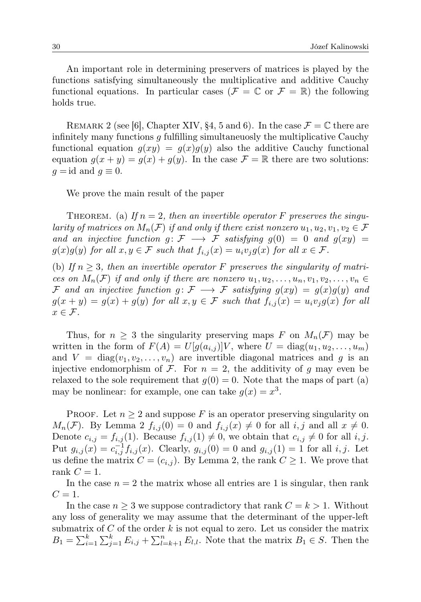An important role in determining preservers of matrices is played by the functions satisfying simultaneously the multiplicative and additive Cauchy functional equations. In particular cases ( $\mathcal{F} = \mathbb{C}$  or  $\mathcal{F} = \mathbb{R}$ ) the following holds true.

REMARK 2 (see [6], Chapter XIV, §4, 5 and 6). In the case  $\mathcal{F} = \mathbb{C}$  there are infinitely many functions  $q$  fulfilling simultaneuosly the multiplicative Cauchy functional equation  $g(xy) = g(x)g(y)$  also the additive Cauchy functional equation  $g(x + y) = g(x) + g(y)$ . In the case  $\mathcal{F} = \mathbb{R}$  there are two solutions:  $q = id$  and  $q \equiv 0$ .

We prove the main result of the paper

THEOREM. (a) If  $n = 2$ , then an invertible operator F preserves the singularity of matrices on  $M_n(\mathcal{F})$  if and only if there exist nonzero  $u_1, u_2, v_1, v_2 \in \mathcal{F}$ and an injective function  $g: \mathcal{F} \longrightarrow \mathcal{F}$  satisfying  $g(0) = 0$  and  $g(xy) =$  $g(x)g(y)$  for all  $x, y \in \mathcal{F}$  such that  $f_{i,j}(x) = u_i v_j g(x)$  for all  $x \in \mathcal{F}$ .

(b) If  $n \geq 3$ , then an invertible operator F preserves the singularity of matrices on  $M_n(\mathcal{F})$  if and only if there are nonzero  $u_1, u_2, \ldots, u_n, v_1, v_2, \ldots, v_n \in$ F and an injective function  $g: \mathcal{F} \longrightarrow \mathcal{F}$  satisfying  $g(xy) = g(x)g(y)$  and  $g(x + y) = g(x) + g(y)$  for all  $x, y \in \mathcal{F}$  such that  $f_{i,j}(x) = u_i v_j g(x)$  for all  $x \in \mathcal{F}$ .

Thus, for  $n \geq 3$  the singularity preserving maps F on  $M_n(\mathcal{F})$  may be written in the form of  $F(A) = U[g(a_{i,j})]V$ , where  $U = \text{diag}(u_1, u_2, \dots, u_m)$ and  $V = diag(v_1, v_2, \ldots, v_n)$  are invertible diagonal matrices and g is an injective endomorphism of  $\mathcal F$ . For  $n = 2$ , the additivity of g may even be relaxed to the sole requirement that  $g(0) = 0$ . Note that the maps of part (a) may be nonlinear: for example, one can take  $g(x) = x^3$ .

PROOF. Let  $n \geq 2$  and suppose F is an operator preserving singularity on  $M_n(\mathcal{F})$ . By Lemma 2  $f_{i,j}(0) = 0$  and  $f_{i,j}(x) \neq 0$  for all  $i, j$  and all  $x \neq 0$ . Denote  $c_{i,j} = f_{i,j}(1)$ . Because  $f_{i,j}(1) \neq 0$ , we obtain that  $c_{i,j} \neq 0$  for all i, j. Put  $g_{i,j}(x) = c_{i,j}^{-1} f_{i,j}(x)$ . Clearly,  $g_{i,j}(0) = 0$  and  $g_{i,j}(1) = 1$  for all  $i, j$ . Let us define the matrix  $C = (c_{i,j})$ . By Lemma 2, the rank  $C \geq 1$ . We prove that rank  $C = 1$ .

In the case  $n = 2$  the matrix whose all entries are 1 is singular, then rank  $C=1$ .

In the case  $n \geq 3$  we suppose contradictory that rank  $C = k > 1$ . Without any loss of generality we may assume that the determinant of the upper-left submatrix of  $C$  of the order  $k$  is not equal to zero. Let us consider the matrix  $B_1 = \sum_{i=1}^k \sum_{j=1}^k E_{i,j} + \sum_{l=k+1}^n E_{l,l}$ . Note that the matrix  $B_1 \in S$ . Then the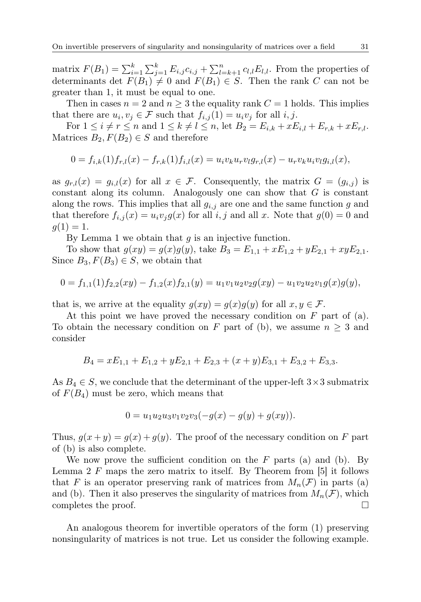matrix  $F(B_1) = \sum_{i=1}^{k} \sum_{j=1}^{k} E_{i,j} c_{i,j} + \sum_{l=k+1}^{n} c_{l,l} E_{l,l}$ . From the properties of determinants det  $F(B_1) \neq 0$  and  $F(B_1) \in S$ . Then the rank C can not be greater than 1, it must be equal to one.

Then in cases  $n = 2$  and  $n \geq 3$  the equality rank  $C = 1$  holds. This implies that there are  $u_i, v_j \in \mathcal{F}$  such that  $f_{i,j}(1) = u_i v_j$  for all  $i, j$ .

For  $1 \le i \ne r \le n$  and  $1 \le k \ne l \le n$ , let  $B_2 = E_{i,k} + xE_{i,l} + E_{r,k} + xE_{r,l}$ . Matrices  $B_2, F(B_2) \in S$  and therefore

$$
0 = f_{i,k}(1)f_{r,l}(x) - f_{r,k}(1)f_{i,l}(x) = u_i v_k u_r v_l g_{r,l}(x) - u_r v_k u_i v_l g_{i,l}(x),
$$

as  $g_{r,l}(x) = g_{i,l}(x)$  for all  $x \in \mathcal{F}$ . Consequently, the matrix  $G = (g_{i,j})$  is constant along its column. Analogously one can show that  $G$  is constant along the rows. This implies that all  $g_{i,j}$  are one and the same function g and that therefore  $f_{i,j}(x) = u_i v_j g(x)$  for all i, j and all x. Note that  $g(0) = 0$  and  $g(1) = 1.$ 

By Lemma 1 we obtain that  $g$  is an injective function.

To show that  $g(xy) = g(x)g(y)$ , take  $B_3 = E_{1,1} + xE_{1,2} + yE_{2,1} + xyE_{2,1}$ . Since  $B_3, F(B_3) \in S$ , we obtain that

$$
0 = f_{1,1}(1)f_{2,2}(xy) - f_{1,2}(x)f_{2,1}(y) = u_1v_1u_2v_2g(xy) - u_1v_2u_2v_1g(x)g(y),
$$

that is, we arrive at the equality  $g(xy) = g(x)g(y)$  for all  $x, y \in \mathcal{F}$ .

At this point we have proved the necessary condition on F part of (a). To obtain the necessary condition on F part of (b), we assume  $n \geq 3$  and consider

$$
B_4 = xE_{1,1} + E_{1,2} + yE_{2,1} + E_{2,3} + (x+y)E_{3,1} + E_{3,2} + E_{3,3}.
$$

As  $B_4 \in S$ , we conclude that the determinant of the upper-left  $3 \times 3$  submatrix of  $F(B_4)$  must be zero, which means that

$$
0 = u_1 u_2 u_3 v_1 v_2 v_3 (-g(x) - g(y) + g(xy)).
$$

Thus,  $g(x+y) = g(x) + g(y)$ . The proof of the necessary condition on F part of (b) is also complete.

We now prove the sufficient condition on the  $F$  parts (a) and (b). By Lemma 2  $F$  maps the zero matrix to itself. By Theorem from [5] it follows that F is an operator preserving rank of matrices from  $M_n(\mathcal{F})$  in parts (a) and (b). Then it also preserves the singularity of matrices from  $M_n(\mathcal{F})$ , which completes the proof.

An analogous theorem for invertible operators of the form (1) preserving nonsingularity of matrices is not true. Let us consider the following example.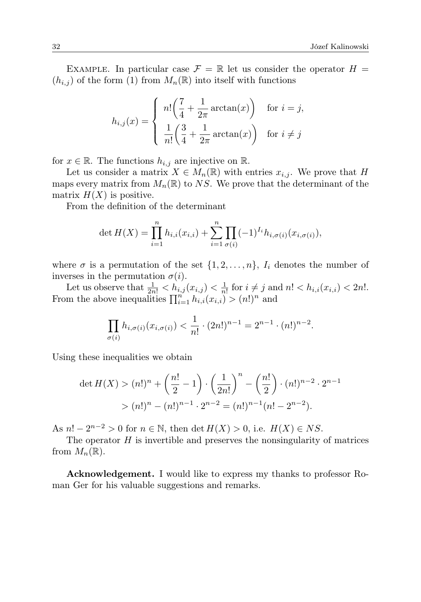EXAMPLE. In particular case  $\mathcal{F} = \mathbb{R}$  let us consider the operator  $H =$  $(h_{i,j})$  of the form (1) from  $M_n(\mathbb{R})$  into itself with functions

$$
h_{i,j}(x) = \begin{cases} n! \left(\frac{7}{4} + \frac{1}{2\pi} \arctan(x)\right) & \text{for } i = j, \\ \frac{1}{n!} \left(\frac{3}{4} + \frac{1}{2\pi} \arctan(x)\right) & \text{for } i \neq j \end{cases}
$$

for  $x \in \mathbb{R}$ . The functions  $h_{i,j}$  are injective on  $\mathbb{R}$ .

Let us consider a matrix  $X \in M_n(\mathbb{R})$  with entries  $x_{i,j}$ . We prove that H maps every matrix from  $M_n(\mathbb{R})$  to NS. We prove that the determinant of the matrix  $H(X)$  is positive.

From the definition of the determinant

$$
\det H(X) = \prod_{i=1}^{n} h_{i,i}(x_{i,i}) + \sum_{i=1}^{n} \prod_{\sigma(i)} (-1)^{I_i} h_{i,\sigma(i)}(x_{i,\sigma(i)}),
$$

where  $\sigma$  is a permutation of the set  $\{1, 2, \ldots, n\}$ ,  $I_i$  denotes the number of inverses in the permutation  $\sigma(i)$ .

Let us observe that  $\frac{1}{2n!} < h_{i,j}(x_{i,j}) < \frac{1}{n!}$  for  $i \neq j$  and  $n! < h_{i,i}(x_{i,i}) < 2n!$ . From the above inequalities  $\prod_{i=1}^{n} h_{i,i}(x_{i,i}) > (n!)^n$  and

$$
\prod_{\sigma(i)} h_{i,\sigma(i)}(x_{i,\sigma(i)}) < \frac{1}{n!} \cdot (2n!)^{n-1} = 2^{n-1} \cdot (n!)^{n-2}.
$$

Using these inequalities we obtain

$$
\det H(X) > (n!)^n + \left(\frac{n!}{2} - 1\right) \cdot \left(\frac{1}{2n!}\right)^n - \left(\frac{n!}{2}\right) \cdot (n!)^{n-2} \cdot 2^{n-1} \\
&> (n!)^n - (n!)^{n-1} \cdot 2^{n-2} = (n!)^{n-1} (n! - 2^{n-2}).
$$

As  $n! - 2^{n-2} > 0$  for  $n \in \mathbb{N}$ , then  $\det H(X) > 0$ , i.e.  $H(X) \in NS$ .

The operator  $H$  is invertible and preserves the nonsingularity of matrices from  $M_n(\mathbb{R})$ .

Acknowledgement. I would like to express my thanks to professor Roman Ger for his valuable suggestions and remarks.